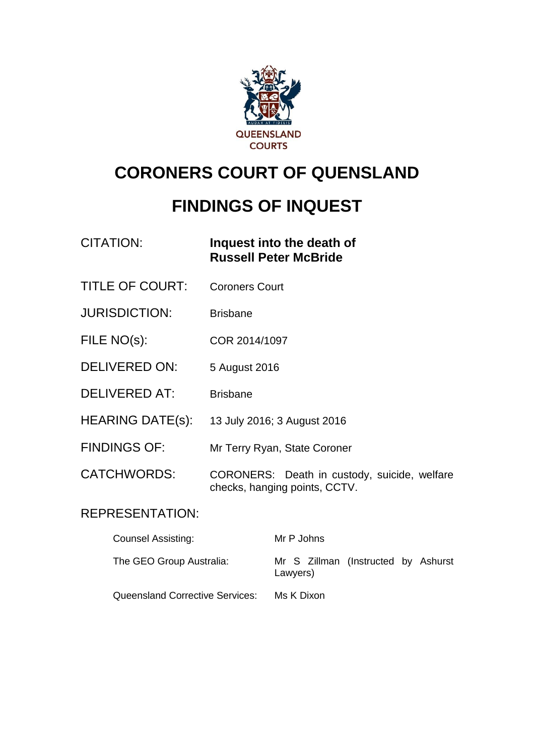

# **CORONERS COURT OF QUENSLAND**

# **FINDINGS OF INQUEST**

| CITATION: | Inquest into the death of    |
|-----------|------------------------------|
|           | <b>Russell Peter McBride</b> |

- TITLE OF COURT: Coroners Court
- JURISDICTION: Brisbane
- FILE NO(s): COR 2014/1097
- DELIVERED ON: 5 August 2016
- DELIVERED AT: Brisbane
- HEARING DATE(s): 13 July 2016; 3 August 2016
- FINDINGS OF: Mr Terry Ryan, State Coroner
- CATCHWORDS: CORONERS: Death in custody, suicide, welfare checks, hanging points, CCTV.

### REPRESENTATION:

| <b>Counsel Assisting:</b>              | Mr P Johns                                      |
|----------------------------------------|-------------------------------------------------|
| The GEO Group Australia:               | Mr S Zillman (Instructed by Ashurst<br>Lawyers) |
| <b>Queensland Corrective Services:</b> | Ms K Dixon                                      |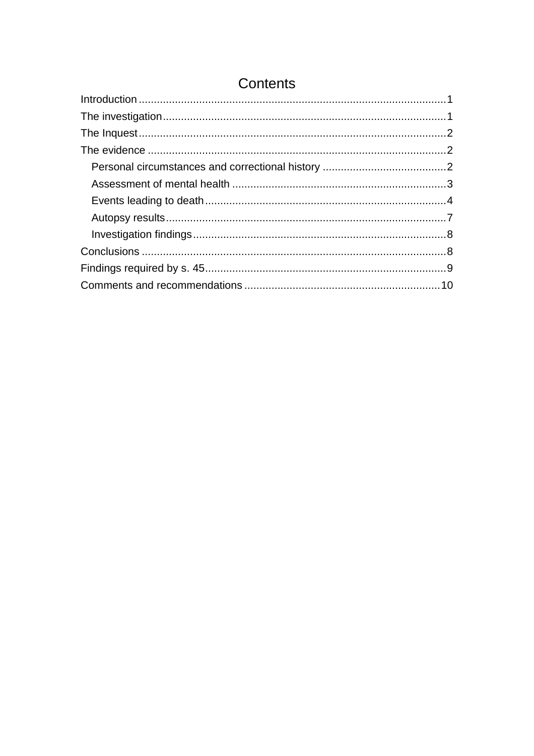## Contents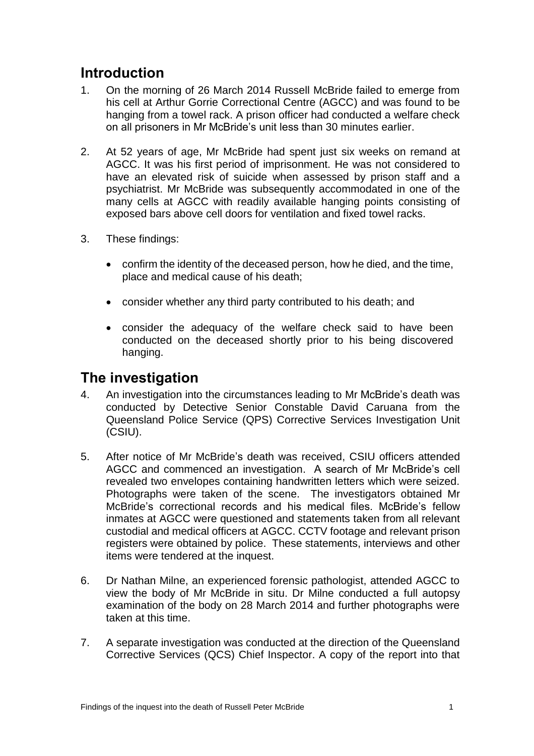## <span id="page-2-0"></span>**Introduction**

- 1. On the morning of 26 March 2014 Russell McBride failed to emerge from his cell at Arthur Gorrie Correctional Centre (AGCC) and was found to be hanging from a towel rack. A prison officer had conducted a welfare check on all prisoners in Mr McBride's unit less than 30 minutes earlier.
- 2. At 52 years of age, Mr McBride had spent just six weeks on remand at AGCC. It was his first period of imprisonment. He was not considered to have an elevated risk of suicide when assessed by prison staff and a psychiatrist. Mr McBride was subsequently accommodated in one of the many cells at AGCC with readily available hanging points consisting of exposed bars above cell doors for ventilation and fixed towel racks.
- 3. These findings:
	- confirm the identity of the deceased person, how he died, and the time, place and medical cause of his death;
	- consider whether any third party contributed to his death; and
	- consider the adequacy of the welfare check said to have been conducted on the deceased shortly prior to his being discovered hanging.

## <span id="page-2-1"></span>**The investigation**

- 4. An investigation into the circumstances leading to Mr McBride's death was conducted by Detective Senior Constable David Caruana from the Queensland Police Service (QPS) Corrective Services Investigation Unit (CSIU).
- 5. After notice of Mr McBride's death was received, CSIU officers attended AGCC and commenced an investigation. A search of Mr McBride's cell revealed two envelopes containing handwritten letters which were seized. Photographs were taken of the scene. The investigators obtained Mr McBride's correctional records and his medical files. McBride's fellow inmates at AGCC were questioned and statements taken from all relevant custodial and medical officers at AGCC. CCTV footage and relevant prison registers were obtained by police. These statements, interviews and other items were tendered at the inquest.
- 6. Dr Nathan Milne, an experienced forensic pathologist, attended AGCC to view the body of Mr McBride in situ. Dr Milne conducted a full autopsy examination of the body on 28 March 2014 and further photographs were taken at this time.
- 7. A separate investigation was conducted at the direction of the Queensland Corrective Services (QCS) Chief Inspector. A copy of the report into that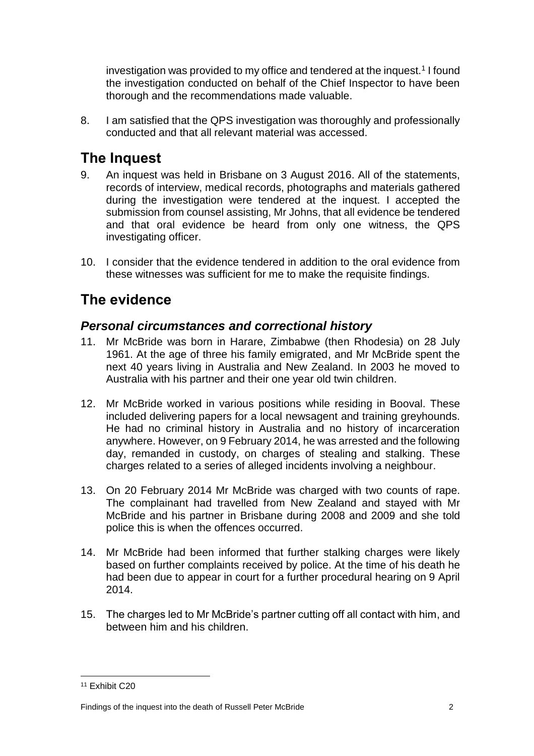investigation was provided to my office and tendered at the inquest.<sup>1</sup> I found the investigation conducted on behalf of the Chief Inspector to have been thorough and the recommendations made valuable.

8. I am satisfied that the QPS investigation was thoroughly and professionally conducted and that all relevant material was accessed.

# <span id="page-3-0"></span>**The Inquest**

- 9. An inquest was held in Brisbane on 3 August 2016. All of the statements, records of interview, medical records, photographs and materials gathered during the investigation were tendered at the inquest. I accepted the submission from counsel assisting, Mr Johns, that all evidence be tendered and that oral evidence be heard from only one witness, the QPS investigating officer.
- 10. I consider that the evidence tendered in addition to the oral evidence from these witnesses was sufficient for me to make the requisite findings.

# <span id="page-3-1"></span>**The evidence**

### <span id="page-3-2"></span>*Personal circumstances and correctional history*

- 11. Mr McBride was born in Harare, Zimbabwe (then Rhodesia) on 28 July 1961. At the age of three his family emigrated, and Mr McBride spent the next 40 years living in Australia and New Zealand. In 2003 he moved to Australia with his partner and their one year old twin children.
- 12. Mr McBride worked in various positions while residing in Booval. These included delivering papers for a local newsagent and training greyhounds. He had no criminal history in Australia and no history of incarceration anywhere. However, on 9 February 2014, he was arrested and the following day, remanded in custody, on charges of stealing and stalking. These charges related to a series of alleged incidents involving a neighbour.
- 13. On 20 February 2014 Mr McBride was charged with two counts of rape. The complainant had travelled from New Zealand and stayed with Mr McBride and his partner in Brisbane during 2008 and 2009 and she told police this is when the offences occurred.
- 14. Mr McBride had been informed that further stalking charges were likely based on further complaints received by police. At the time of his death he had been due to appear in court for a further procedural hearing on 9 April 2014.
- 15. The charges led to Mr McBride's partner cutting off all contact with him, and between him and his children.

 $\overline{\phantom{a}}$ <sup>11</sup> Exhibit C20

Findings of the inquest into the death of Russell Peter McBride 2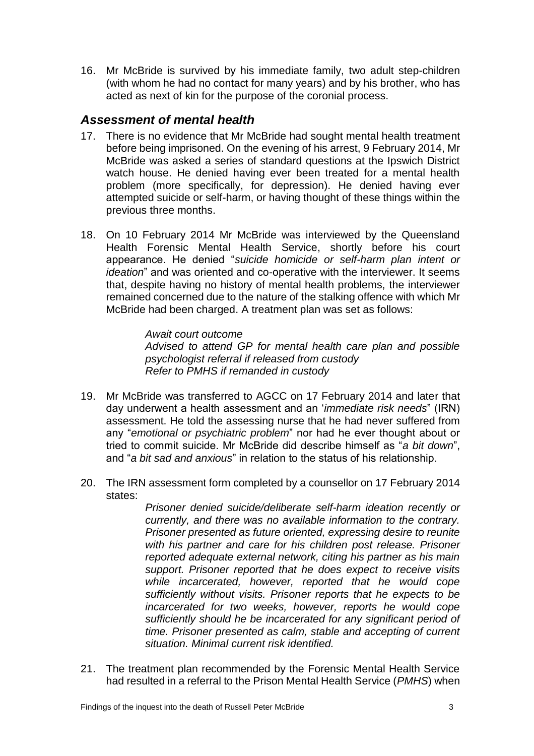16. Mr McBride is survived by his immediate family, two adult step-children (with whom he had no contact for many years) and by his brother, who has acted as next of kin for the purpose of the coronial process.

## <span id="page-4-0"></span>*Assessment of mental health*

- 17. There is no evidence that Mr McBride had sought mental health treatment before being imprisoned. On the evening of his arrest, 9 February 2014, Mr McBride was asked a series of standard questions at the Ipswich District watch house. He denied having ever been treated for a mental health problem (more specifically, for depression). He denied having ever attempted suicide or self-harm, or having thought of these things within the previous three months.
- 18. On 10 February 2014 Mr McBride was interviewed by the Queensland Health Forensic Mental Health Service, shortly before his court appearance. He denied "*suicide homicide or self-harm plan intent or ideation*" and was oriented and co-operative with the interviewer. It seems that, despite having no history of mental health problems, the interviewer remained concerned due to the nature of the stalking offence with which Mr McBride had been charged. A treatment plan was set as follows:

*Await court outcome Advised to attend GP for mental health care plan and possible psychologist referral if released from custody Refer to PMHS if remanded in custody*

- 19. Mr McBride was transferred to AGCC on 17 February 2014 and later that day underwent a health assessment and an '*immediate risk needs*" (IRN) assessment. He told the assessing nurse that he had never suffered from any "*emotional or psychiatric problem*" nor had he ever thought about or tried to commit suicide. Mr McBride did describe himself as "*a bit down*", and "*a bit sad and anxious*" in relation to the status of his relationship.
- 20. The IRN assessment form completed by a counsellor on 17 February 2014 states:

*Prisoner denied suicide/deliberate self-harm ideation recently or currently, and there was no available information to the contrary. Prisoner presented as future oriented, expressing desire to reunite with his partner and care for his children post release. Prisoner reported adequate external network, citing his partner as his main support. Prisoner reported that he does expect to receive visits while incarcerated, however, reported that he would cope sufficiently without visits. Prisoner reports that he expects to be incarcerated for two weeks, however, reports he would cope sufficiently should he be incarcerated for any significant period of time. Prisoner presented as calm, stable and accepting of current situation. Minimal current risk identified.*

21. The treatment plan recommended by the Forensic Mental Health Service had resulted in a referral to the Prison Mental Health Service (*PMHS*) when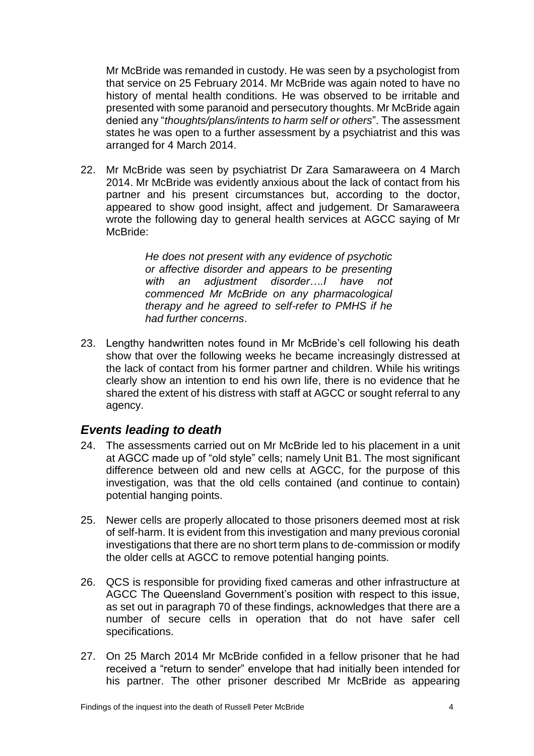Mr McBride was remanded in custody. He was seen by a psychologist from that service on 25 February 2014. Mr McBride was again noted to have no history of mental health conditions. He was observed to be irritable and presented with some paranoid and persecutory thoughts. Mr McBride again denied any "*thoughts/plans/intents to harm self or others*". The assessment states he was open to a further assessment by a psychiatrist and this was arranged for 4 March 2014.

22. Mr McBride was seen by psychiatrist Dr Zara Samaraweera on 4 March 2014. Mr McBride was evidently anxious about the lack of contact from his partner and his present circumstances but, according to the doctor, appeared to show good insight, affect and judgement. Dr Samaraweera wrote the following day to general health services at AGCC saying of Mr McBride:

> *He does not present with any evidence of psychotic or affective disorder and appears to be presenting with an adjustment disorder….I have not commenced Mr McBride on any pharmacological therapy and he agreed to self-refer to PMHS if he had further concerns*.

23. Lengthy handwritten notes found in Mr McBride's cell following his death show that over the following weeks he became increasingly distressed at the lack of contact from his former partner and children. While his writings clearly show an intention to end his own life, there is no evidence that he shared the extent of his distress with staff at AGCC or sought referral to any agency.

### <span id="page-5-0"></span>*Events leading to death*

- 24. The assessments carried out on Mr McBride led to his placement in a unit at AGCC made up of "old style" cells; namely Unit B1. The most significant difference between old and new cells at AGCC, for the purpose of this investigation, was that the old cells contained (and continue to contain) potential hanging points.
- 25. Newer cells are properly allocated to those prisoners deemed most at risk of self-harm. It is evident from this investigation and many previous coronial investigations that there are no short term plans to de-commission or modify the older cells at AGCC to remove potential hanging points.
- 26. QCS is responsible for providing fixed cameras and other infrastructure at AGCC The Queensland Government's position with respect to this issue, as set out in paragraph 70 of these findings, acknowledges that there are a number of secure cells in operation that do not have safer cell specifications.
- 27. On 25 March 2014 Mr McBride confided in a fellow prisoner that he had received a "return to sender" envelope that had initially been intended for his partner. The other prisoner described Mr McBride as appearing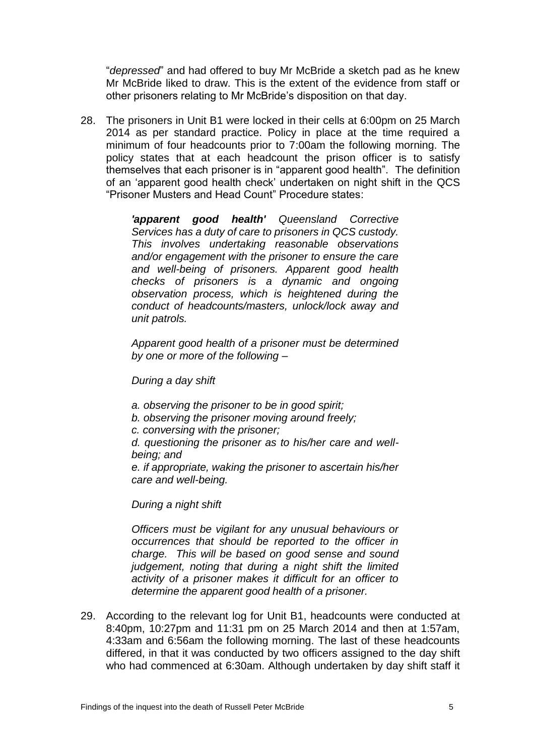"*depressed*" and had offered to buy Mr McBride a sketch pad as he knew Mr McBride liked to draw. This is the extent of the evidence from staff or other prisoners relating to Mr McBride's disposition on that day.

28. The prisoners in Unit B1 were locked in their cells at 6:00pm on 25 March 2014 as per standard practice. Policy in place at the time required a minimum of four headcounts prior to 7:00am the following morning. The policy states that at each headcount the prison officer is to satisfy themselves that each prisoner is in "apparent good health". The definition of an 'apparent good health check' undertaken on night shift in the QCS "Prisoner Musters and Head Count" Procedure states:

> *'apparent good health' Queensland Corrective Services has a duty of care to prisoners in QCS custody. This involves undertaking reasonable observations and/or engagement with the prisoner to ensure the care and well-being of prisoners. Apparent good health checks of prisoners is a dynamic and ongoing observation process, which is heightened during the conduct of headcounts/masters, unlock/lock away and unit patrols.*

> *Apparent good health of a prisoner must be determined by one or more of the following –*

*During a day shift* 

- *a. observing the prisoner to be in good spirit;*
- *b. observing the prisoner moving around freely;*
- *c. conversing with the prisoner;*

*d. questioning the prisoner as to his/her care and wellbeing; and* 

*e. if appropriate, waking the prisoner to ascertain his/her care and well-being.* 

*During a night shift*

*Officers must be vigilant for any unusual behaviours or occurrences that should be reported to the officer in charge. This will be based on good sense and sound judgement, noting that during a night shift the limited activity of a prisoner makes it difficult for an officer to determine the apparent good health of a prisoner.*

29. According to the relevant log for Unit B1, headcounts were conducted at 8:40pm, 10:27pm and 11:31 pm on 25 March 2014 and then at 1:57am, 4:33am and 6:56am the following morning. The last of these headcounts differed, in that it was conducted by two officers assigned to the day shift who had commenced at 6:30am. Although undertaken by day shift staff it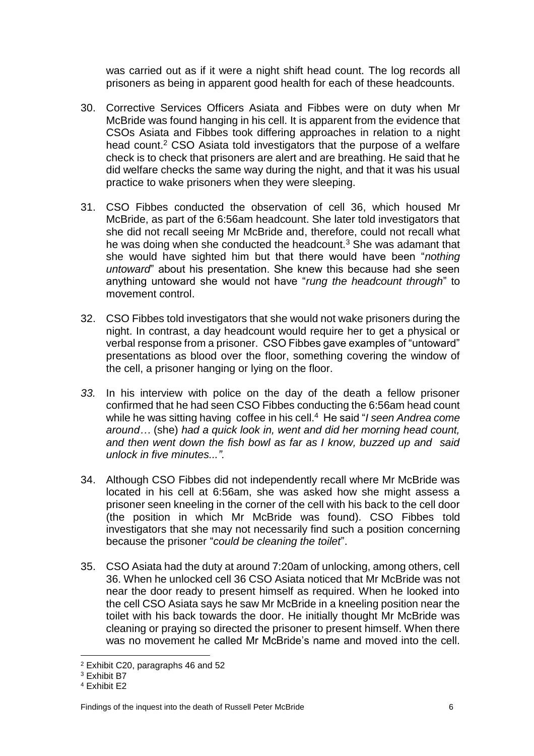was carried out as if it were a night shift head count. The log records all prisoners as being in apparent good health for each of these headcounts.

- 30. Corrective Services Officers Asiata and Fibbes were on duty when Mr McBride was found hanging in his cell. It is apparent from the evidence that CSOs Asiata and Fibbes took differing approaches in relation to a night head count.<sup>2</sup> CSO Asiata told investigators that the purpose of a welfare check is to check that prisoners are alert and are breathing. He said that he did welfare checks the same way during the night, and that it was his usual practice to wake prisoners when they were sleeping.
- 31. CSO Fibbes conducted the observation of cell 36, which housed Mr McBride, as part of the 6:56am headcount. She later told investigators that she did not recall seeing Mr McBride and, therefore, could not recall what he was doing when she conducted the headcount.<sup>3</sup> She was adamant that she would have sighted him but that there would have been "*nothing untoward*" about his presentation. She knew this because had she seen anything untoward she would not have "*rung the headcount through*" to movement control.
- 32. CSO Fibbes told investigators that she would not wake prisoners during the night. In contrast, a day headcount would require her to get a physical or verbal response from a prisoner. CSO Fibbes gave examples of "untoward" presentations as blood over the floor, something covering the window of the cell, a prisoner hanging or lying on the floor.
- *33.* In his interview with police on the day of the death a fellow prisoner confirmed that he had seen CSO Fibbes conducting the 6:56am head count while he was sitting having coffee in his cell. 4 He said "*I seen Andrea come around…* (she) *had a quick look in, went and did her morning head count, and then went down the fish bowl as far as I know, buzzed up and said unlock in five minutes...".*
- 34. Although CSO Fibbes did not independently recall where Mr McBride was located in his cell at 6:56am, she was asked how she might assess a prisoner seen kneeling in the corner of the cell with his back to the cell door (the position in which Mr McBride was found). CSO Fibbes told investigators that she may not necessarily find such a position concerning because the prisoner "*could be cleaning the toilet*".
- 35. CSO Asiata had the duty at around 7:20am of unlocking, among others, cell 36. When he unlocked cell 36 CSO Asiata noticed that Mr McBride was not near the door ready to present himself as required. When he looked into the cell CSO Asiata says he saw Mr McBride in a kneeling position near the toilet with his back towards the door. He initially thought Mr McBride was cleaning or praying so directed the prisoner to present himself. When there was no movement he called Mr McBride's name and moved into the cell.

 $\overline{\phantom{a}}$ <sup>2</sup> Exhibit C20, paragraphs 46 and 52

<sup>3</sup> Exhibit B7

<sup>4</sup> Exhibit E2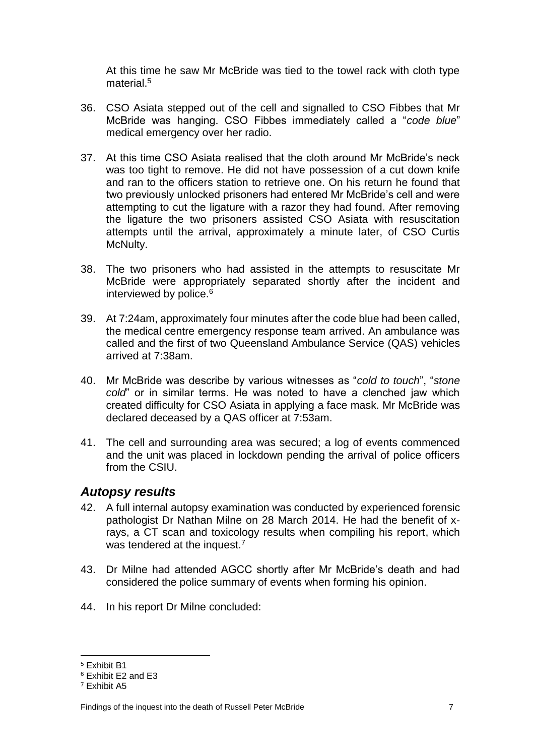At this time he saw Mr McBride was tied to the towel rack with cloth type material.<sup>5</sup>

- 36. CSO Asiata stepped out of the cell and signalled to CSO Fibbes that Mr McBride was hanging. CSO Fibbes immediately called a "*code blue*" medical emergency over her radio.
- 37. At this time CSO Asiata realised that the cloth around Mr McBride's neck was too tight to remove. He did not have possession of a cut down knife and ran to the officers station to retrieve one. On his return he found that two previously unlocked prisoners had entered Mr McBride's cell and were attempting to cut the ligature with a razor they had found. After removing the ligature the two prisoners assisted CSO Asiata with resuscitation attempts until the arrival, approximately a minute later, of CSO Curtis McNulty.
- 38. The two prisoners who had assisted in the attempts to resuscitate Mr McBride were appropriately separated shortly after the incident and interviewed by police.<sup>6</sup>
- 39. At 7:24am, approximately four minutes after the code blue had been called, the medical centre emergency response team arrived. An ambulance was called and the first of two Queensland Ambulance Service (QAS) vehicles arrived at 7:38am.
- 40. Mr McBride was describe by various witnesses as "*cold to touch*", "*stone cold*" or in similar terms. He was noted to have a clenched jaw which created difficulty for CSO Asiata in applying a face mask. Mr McBride was declared deceased by a QAS officer at 7:53am.
- 41. The cell and surrounding area was secured; a log of events commenced and the unit was placed in lockdown pending the arrival of police officers from the CSIU.

#### <span id="page-8-0"></span>*Autopsy results*

- 42. A full internal autopsy examination was conducted by experienced forensic pathologist Dr Nathan Milne on 28 March 2014. He had the benefit of xrays, a CT scan and toxicology results when compiling his report, which was tendered at the inquest.<sup>7</sup>
- 43. Dr Milne had attended AGCC shortly after Mr McBride's death and had considered the police summary of events when forming his opinion.
- 44. In his report Dr Milne concluded:

 $\overline{\phantom{a}}$ <sup>5</sup> Exhibit B1

<sup>6</sup> Exhibit E2 and E3

<sup>7</sup> Exhibit A5

Findings of the inquest into the death of Russell Peter McBride 7 7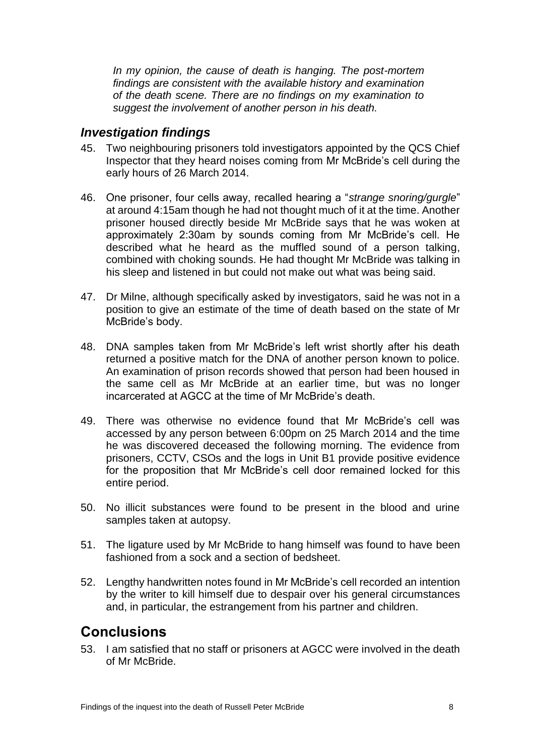*In my opinion, the cause of death is hanging. The post-mortem findings are consistent with the available history and examination of the death scene. There are no findings on my examination to suggest the involvement of another person in his death.*

#### <span id="page-9-0"></span>*Investigation findings*

- 45. Two neighbouring prisoners told investigators appointed by the QCS Chief Inspector that they heard noises coming from Mr McBride's cell during the early hours of 26 March 2014.
- 46. One prisoner, four cells away, recalled hearing a "*strange snoring/gurgle*" at around 4:15am though he had not thought much of it at the time. Another prisoner housed directly beside Mr McBride says that he was woken at approximately 2:30am by sounds coming from Mr McBride's cell. He described what he heard as the muffled sound of a person talking, combined with choking sounds. He had thought Mr McBride was talking in his sleep and listened in but could not make out what was being said.
- 47. Dr Milne, although specifically asked by investigators, said he was not in a position to give an estimate of the time of death based on the state of Mr McBride's body.
- 48. DNA samples taken from Mr McBride's left wrist shortly after his death returned a positive match for the DNA of another person known to police. An examination of prison records showed that person had been housed in the same cell as Mr McBride at an earlier time, but was no longer incarcerated at AGCC at the time of Mr McBride's death.
- 49. There was otherwise no evidence found that Mr McBride's cell was accessed by any person between 6:00pm on 25 March 2014 and the time he was discovered deceased the following morning. The evidence from prisoners, CCTV, CSOs and the logs in Unit B1 provide positive evidence for the proposition that Mr McBride's cell door remained locked for this entire period.
- 50. No illicit substances were found to be present in the blood and urine samples taken at autopsy.
- 51. The ligature used by Mr McBride to hang himself was found to have been fashioned from a sock and a section of bedsheet.
- 52. Lengthy handwritten notes found in Mr McBride's cell recorded an intention by the writer to kill himself due to despair over his general circumstances and, in particular, the estrangement from his partner and children.

## <span id="page-9-1"></span>**Conclusions**

53. I am satisfied that no staff or prisoners at AGCC were involved in the death of Mr McBride.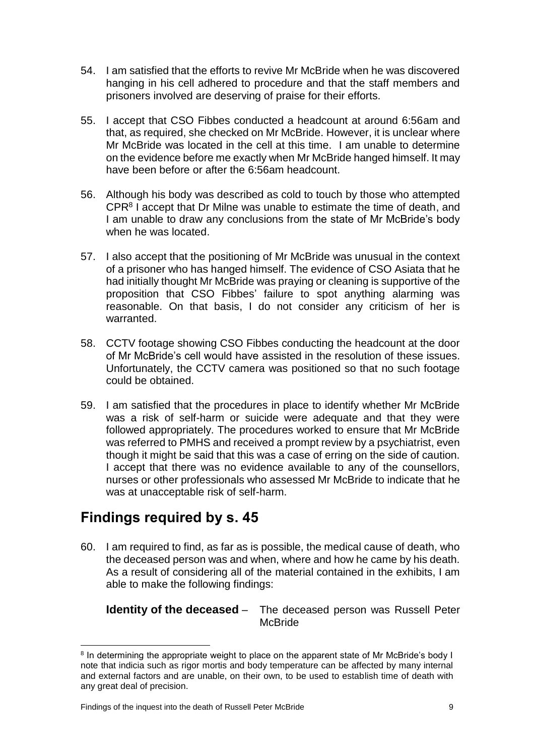- 54. I am satisfied that the efforts to revive Mr McBride when he was discovered hanging in his cell adhered to procedure and that the staff members and prisoners involved are deserving of praise for their efforts.
- 55. I accept that CSO Fibbes conducted a headcount at around 6:56am and that, as required, she checked on Mr McBride. However, it is unclear where Mr McBride was located in the cell at this time. I am unable to determine on the evidence before me exactly when Mr McBride hanged himself. It may have been before or after the 6:56am headcount.
- 56. Although his body was described as cold to touch by those who attempted CPR<sup>8</sup> I accept that Dr Milne was unable to estimate the time of death, and I am unable to draw any conclusions from the state of Mr McBride's body when he was located.
- 57. I also accept that the positioning of Mr McBride was unusual in the context of a prisoner who has hanged himself. The evidence of CSO Asiata that he had initially thought Mr McBride was praying or cleaning is supportive of the proposition that CSO Fibbes' failure to spot anything alarming was reasonable. On that basis, I do not consider any criticism of her is warranted.
- 58. CCTV footage showing CSO Fibbes conducting the headcount at the door of Mr McBride's cell would have assisted in the resolution of these issues. Unfortunately, the CCTV camera was positioned so that no such footage could be obtained.
- 59. I am satisfied that the procedures in place to identify whether Mr McBride was a risk of self-harm or suicide were adequate and that they were followed appropriately. The procedures worked to ensure that Mr McBride was referred to PMHS and received a prompt review by a psychiatrist, even though it might be said that this was a case of erring on the side of caution. I accept that there was no evidence available to any of the counsellors, nurses or other professionals who assessed Mr McBride to indicate that he was at unacceptable risk of self-harm.

## <span id="page-10-0"></span>**Findings required by s. 45**

 $\overline{\phantom{a}}$ 

60. I am required to find, as far as is possible, the medical cause of death, who the deceased person was and when, where and how he came by his death. As a result of considering all of the material contained in the exhibits, I am able to make the following findings:

#### **Identity of the deceased** – The deceased person was Russell Peter **McBride**

<sup>&</sup>lt;sup>8</sup> In determining the appropriate weight to place on the apparent state of Mr McBride's body I note that indicia such as rigor mortis and body temperature can be affected by many internal and external factors and are unable, on their own, to be used to establish time of death with any great deal of precision.

Findings of the inquest into the death of Russell Peter McBride 9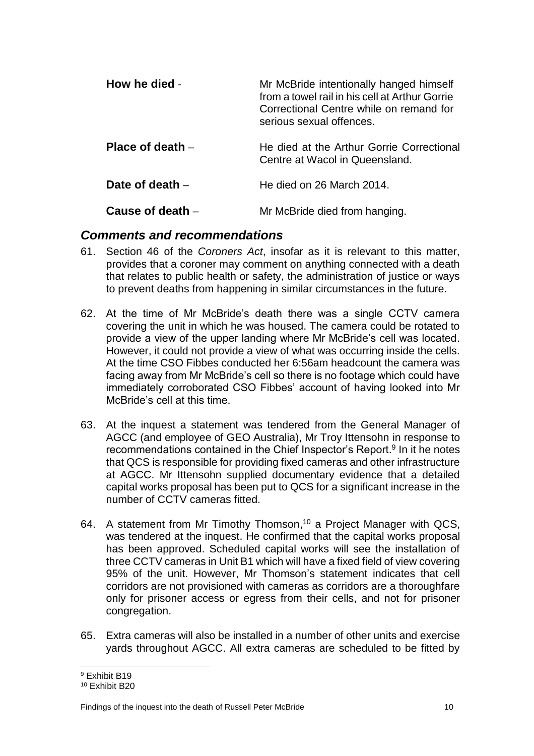| How he died -      | Mr McBride intentionally hanged himself<br>from a towel rail in his cell at Arthur Gorrie<br>Correctional Centre while on remand for<br>serious sexual offences. |
|--------------------|------------------------------------------------------------------------------------------------------------------------------------------------------------------|
| Place of death $-$ | He died at the Arthur Gorrie Correctional<br>Centre at Wacol in Queensland.                                                                                      |
| Date of death -    | He died on 26 March 2014.                                                                                                                                        |
| Cause of death -   | Mr McBride died from hanging.                                                                                                                                    |

#### <span id="page-11-0"></span>*Comments and recommendations*

- 61. Section 46 of the *Coroners Act*, insofar as it is relevant to this matter, provides that a coroner may comment on anything connected with a death that relates to public health or safety, the administration of justice or ways to prevent deaths from happening in similar circumstances in the future.
- 62. At the time of Mr McBride's death there was a single CCTV camera covering the unit in which he was housed. The camera could be rotated to provide a view of the upper landing where Mr McBride's cell was located. However, it could not provide a view of what was occurring inside the cells. At the time CSO Fibbes conducted her 6:56am headcount the camera was facing away from Mr McBride's cell so there is no footage which could have immediately corroborated CSO Fibbes' account of having looked into Mr McBride's cell at this time.
- 63. At the inquest a statement was tendered from the General Manager of AGCC (and employee of GEO Australia), Mr Troy Ittensohn in response to recommendations contained in the Chief Inspector's Report.<sup>9</sup> In it he notes that QCS is responsible for providing fixed cameras and other infrastructure at AGCC. Mr Ittensohn supplied documentary evidence that a detailed capital works proposal has been put to QCS for a significant increase in the number of CCTV cameras fitted.
- 64. A statement from Mr Timothy Thomson, <sup>10</sup> a Project Manager with QCS, was tendered at the inquest. He confirmed that the capital works proposal has been approved. Scheduled capital works will see the installation of three CCTV cameras in Unit B1 which will have a fixed field of view covering 95% of the unit. However, Mr Thomson's statement indicates that cell corridors are not provisioned with cameras as corridors are a thoroughfare only for prisoner access or egress from their cells, and not for prisoner congregation.
- 65. Extra cameras will also be installed in a number of other units and exercise yards throughout AGCC. All extra cameras are scheduled to be fitted by

 $\overline{\phantom{a}}$ <sup>9</sup> Exhibit B19

<sup>10</sup> Exhibit B20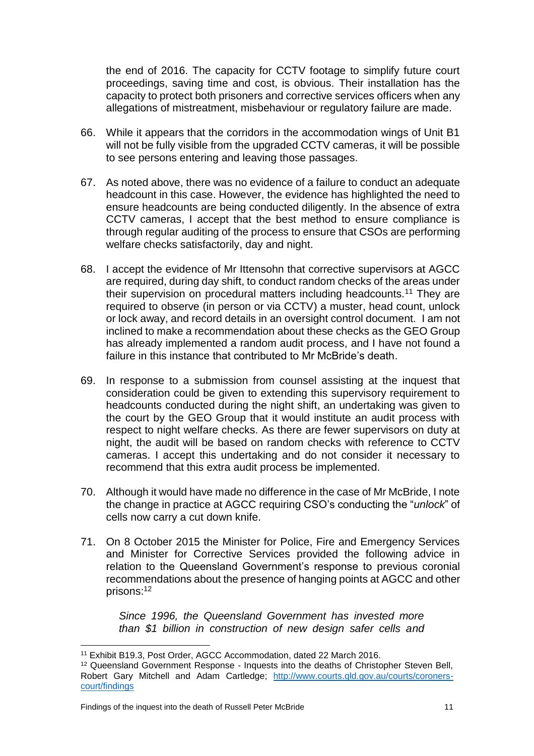the end of 2016. The capacity for CCTV footage to simplify future court proceedings, saving time and cost, is obvious. Their installation has the capacity to protect both prisoners and corrective services officers when any allegations of mistreatment, misbehaviour or regulatory failure are made.

- 66. While it appears that the corridors in the accommodation wings of Unit B1 will not be fully visible from the upgraded CCTV cameras, it will be possible to see persons entering and leaving those passages.
- 67. As noted above, there was no evidence of a failure to conduct an adequate headcount in this case. However, the evidence has highlighted the need to ensure headcounts are being conducted diligently. In the absence of extra CCTV cameras, I accept that the best method to ensure compliance is through regular auditing of the process to ensure that CSOs are performing welfare checks satisfactorily, day and night.
- 68. I accept the evidence of Mr Ittensohn that corrective supervisors at AGCC are required, during day shift, to conduct random checks of the areas under their supervision on procedural matters including headcounts.<sup>11</sup> They are required to observe (in person or via CCTV) a muster, head count, unlock or lock away, and record details in an oversight control document. I am not inclined to make a recommendation about these checks as the GEO Group has already implemented a random audit process, and I have not found a failure in this instance that contributed to Mr McBride's death.
- 69. In response to a submission from counsel assisting at the inquest that consideration could be given to extending this supervisory requirement to headcounts conducted during the night shift, an undertaking was given to the court by the GEO Group that it would institute an audit process with respect to night welfare checks. As there are fewer supervisors on duty at night, the audit will be based on random checks with reference to CCTV cameras. I accept this undertaking and do not consider it necessary to recommend that this extra audit process be implemented.
- 70. Although it would have made no difference in the case of Mr McBride, I note the change in practice at AGCC requiring CSO's conducting the "*unlock*" of cells now carry a cut down knife.
- 71. On 8 October 2015 the Minister for Police, Fire and Emergency Services and Minister for Corrective Services provided the following advice in relation to the Queensland Government's response to previous coronial recommendations about the presence of hanging points at AGCC and other prisons: 12

*Since 1996, the Queensland Government has invested more than \$1 billion in construction of new design safer cells and* 

 $\overline{\phantom{a}}$ 

<sup>11</sup> Exhibit B19.3, Post Order, AGCC Accommodation, dated 22 March 2016.

<sup>&</sup>lt;sup>12</sup> Queensland Government Response - Inquests into the deaths of Christopher Steven Bell, Robert Gary Mitchell and Adam Cartledge; [http://www.courts.qld.gov.au/courts/coroners](http://www.courts.qld.gov.au/courts/coroners-court/findings)[court/findings](http://www.courts.qld.gov.au/courts/coroners-court/findings)